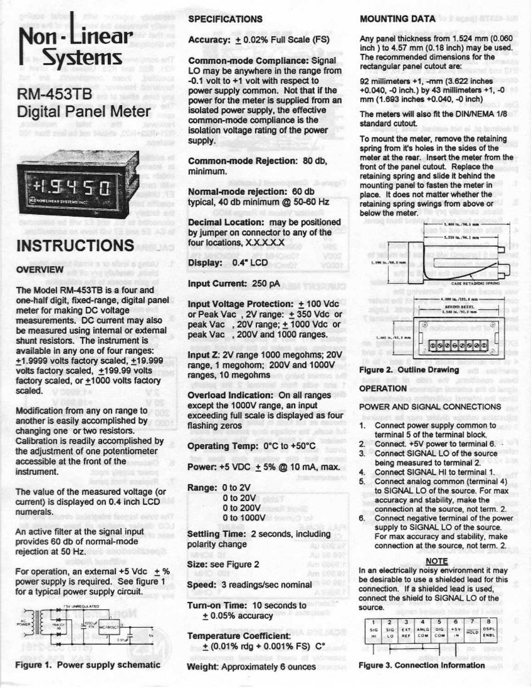# Non - Linear **Systems**

# **RM-453TB Digital Panel Meter**



# **INSTRUCTIONS**

## **OVERVIEW**

The Model RM-453TB is a four and one-half digit, fixed-range, digital panel meter for making DC voltage measurements. DC current may also be measured using internal or external shunt resistors. The instrument is available in any one of four ranges: +1.9999 volts factory scaled, +19.999 volts factory scaled, +199.99 volts factory scaled, or +1000 volts factory scaled.

Modification from any on range to another is easily accomplished by changing one or two resistors. Calibration is readily accomplished by the adjustment of one potentiometer accessible at the front of the instrument.

The value of the measured voltage (or current) is displayed on 0.4 inch LCD numerals.

An active filter at the signal input provides 60 db of normal-mode rejection at 50 Hz.

For operation, an external  $+5$  Vdc  $+$  % power supply is required. See figure 1 for a typical power supply circuit.



Figure 1. Power supply schematic

### **SPECIFICATIONS**

Accuracy: + 0.02% Full Scale (FS)

Common-mode Compliance: Signal LO may be anywhere in the range from -0.1 volt to +1 volt with respect to power supply common. Not that if the power for the meter is supplied from an isolated power supply, the effective common-mode compliance is the isolation voltage rating of the power supply.

Common-mode Rejection: 80 db, minimum.

Normal-mode rejection: 60 db typical, 40 db minimum @ 50-60 Hz

Decimal Location: may be positioned by jumper on connector to any of the four locations, X.X.X.X.X

Display: 0.4" LCD

Input Current: 250 pA

Input Voltage Protection: + 100 Vdc or Peak Vac, 2V range: +350 Vdc or peak Vac , 20V range; ± 1000 Vdc or peak Vac , 200V and 1000 ranges.

Input Z: 2V range 1000 megohms; 20V range, 1 megohom; 200V and 1000V ranges, 10 megohms

Overload Indication: On all ranges except the 1000V range, an input exceeding full scale is displayed as four flashing zeros

Operating Temp: 0°C to +50°C

Power: +5 VDC  $\pm$  5% @ 10 mA, max.

Range: 0 to 2V 0 to 20V 0 to 200V

0 to 1000V

Settling Time: 2 seconds, including polarity change

Size: see Figure 2

Speed: 3 readings/sec nominal

Turn-on Time: 10 seconds to  $+0.05%$  accuracy

**Temperature Coefficient:**  $+$  (0.01% rdg + 0.001% FS) C°

Weight: Approximately 6 ounces

#### **MOUNTING DATA**

Any panel thickness from 1.524 mm (0.060 inch) to 4.57 mm (0.18 inch) may be used. The recommended dimensions for the rectangular panel cutout are:

92 millimeters +1, -mm (3.622 inches +0.040, -0 inch.) by 43 millimeters +1, -0 mm (1.693 inches +0.040, -0 inch)

The meters will also fit the DIN/NEMA 1/8 standard cutout.

To mount the meter, remove the retaining spring from it's holes in the sides of the meter at the rear. Insert the meter from the front of the panel cutout. Replace the retaining spring and slide it behind the mounting panel to fasten the meter in place. It does not matter whether the retaining spring swings from above or below the meter.





#### **Figure 2. Outline Drawing**

#### **OPERATION**

POWER AND SIGNAL CONNECTIONS

- 1. Connect power supply common to terminal 5 of the terminal block.
- Connect. +5V power to terminal 6.  $2^{\circ}$
- $3<sup>1</sup>$ Connect SIGNAL LO of the source
- being measured to terminal 2.
- 4. Connect SIGNAL HI to terminal 1.
- 5. Connect analog common (terminal 4) to SIGNAL LO of the source. For max accuracy and stability, make the connection at the source, not term. 2.
- 6. Connect negative terminal of the power supply to SIGNAL LO of the source. For max accuracy and stability, make connection at the source, not term. 2.

#### **NOTE**

In an electrically noisy environment it may be desirable to use a shielded lead for this connection. If a shielded lead is used. connect the shield to SIGNAL LO of the source.



Figure 3. Connection Information